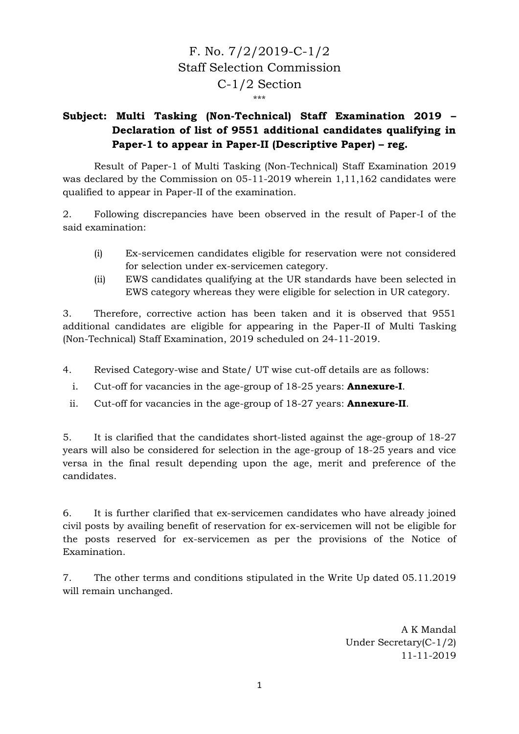## F. No. 7/2/2019-C-1/2 Staff Selection Commission C-1/2 Section \*\*\*

## **Subject: Multi Tasking (Non-Technical) Staff Examination 2019 – Declaration of list of 9551 additional candidates qualifying in Paper-1 to appear in Paper-II (Descriptive Paper) – reg.**

Result of Paper-1 of Multi Tasking (Non-Technical) Staff Examination 2019 was declared by the Commission on 05-11-2019 wherein 1,11,162 candidates were qualified to appear in Paper-II of the examination.

2. Following discrepancies have been observed in the result of Paper-I of the said examination:

- (i) Ex-servicemen candidates eligible for reservation were not considered for selection under ex-servicemen category.
- (ii) EWS candidates qualifying at the UR standards have been selected in EWS category whereas they were eligible for selection in UR category.

3. Therefore, corrective action has been taken and it is observed that 9551 additional candidates are eligible for appearing in the Paper-II of Multi Tasking (Non-Technical) Staff Examination, 2019 scheduled on 24-11-2019.

4. Revised Category-wise and State/ UT wise cut-off details are as follows:

- i. Cut-off for vacancies in the age-group of 18-25 years: **Annexure-I**.
- ii. Cut-off for vacancies in the age-group of 18-27 years: **Annexure-II**.

5. It is clarified that the candidates short-listed against the age-group of 18-27 years will also be considered for selection in the age-group of 18-25 years and vice versa in the final result depending upon the age, merit and preference of the candidates.

6. It is further clarified that ex-servicemen candidates who have already joined civil posts by availing benefit of reservation for ex-servicemen will not be eligible for the posts reserved for ex-servicemen as per the provisions of the Notice of Examination.

7. The other terms and conditions stipulated in the Write Up dated 05.11.2019 will remain unchanged.

> A K Mandal Under Secretary(C-1/2) 11-11-2019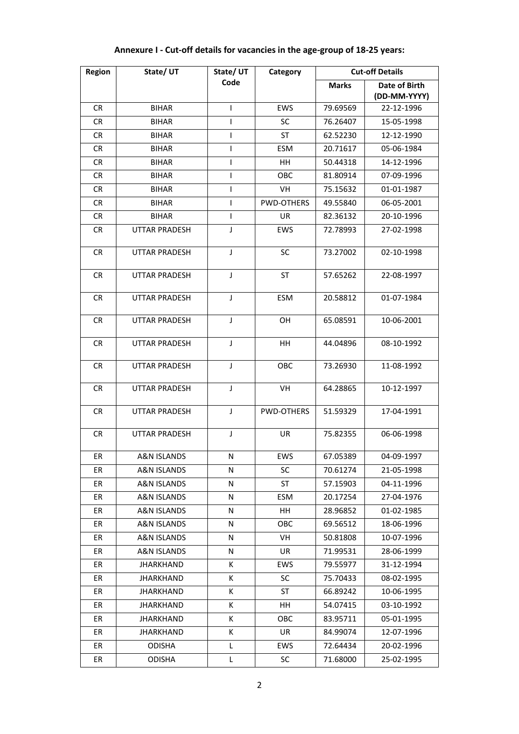| <b>Region</b> | State/UT             | State/UT | Category          |              | <b>Cut-off Details</b> |
|---------------|----------------------|----------|-------------------|--------------|------------------------|
|               |                      | Code     |                   | <b>Marks</b> | Date of Birth          |
|               |                      |          |                   |              | (DD-MM-YYYY)           |
| <b>CR</b>     | <b>BIHAR</b>         | T        | EWS               | 79.69569     | 22-12-1996             |
| <b>CR</b>     | <b>BIHAR</b>         | T        | SC                | 76.26407     | 15-05-1998             |
| CR            | <b>BIHAR</b>         | I        | ST                | 62.52230     | 12-12-1990             |
| CR.           | <b>BIHAR</b>         | T        | <b>ESM</b>        | 20.71617     | 05-06-1984             |
| CR            | <b>BIHAR</b>         | T        | HH                | 50.44318     | 14-12-1996             |
| CR            | <b>BIHAR</b>         | ı        | <b>OBC</b>        | 81.80914     | 07-09-1996             |
| <b>CR</b>     | <b>BIHAR</b>         | T        | VH                | 75.15632     | 01-01-1987             |
| CR            | <b>BIHAR</b>         | T        | <b>PWD-OTHERS</b> | 49.55840     | 06-05-2001             |
| CR            | <b>BIHAR</b>         | T        | UR                | 82.36132     | 20-10-1996             |
| <b>CR</b>     | <b>UTTAR PRADESH</b> | J        | EWS               | 72.78993     | 27-02-1998             |
| CR            | <b>UTTAR PRADESH</b> | J        | <b>SC</b>         | 73.27002     | 02-10-1998             |
| <b>CR</b>     | <b>UTTAR PRADESH</b> | J        | <b>ST</b>         | 57.65262     | 22-08-1997             |
| <b>CR</b>     | <b>UTTAR PRADESH</b> | J        | <b>ESM</b>        | 20.58812     | 01-07-1984             |
| <b>CR</b>     | UTTAR PRADESH        | J        | OН                | 65.08591     | 10-06-2001             |
| <b>CR</b>     | <b>UTTAR PRADESH</b> | J        | HH                | 44.04896     | 08-10-1992             |
| <b>CR</b>     | <b>UTTAR PRADESH</b> | J        | OBC               | 73.26930     | 11-08-1992             |
| <b>CR</b>     | <b>UTTAR PRADESH</b> | J        | VH                | 64.28865     | 10-12-1997             |
| <b>CR</b>     | <b>UTTAR PRADESH</b> | J        | PWD-OTHERS        | 51.59329     | 17-04-1991             |
| CR.           | <b>UTTAR PRADESH</b> | J        | UR                | 75.82355     | 06-06-1998             |
| ER            | A&N ISLANDS          | N        | EWS               | 67.05389     | 04-09-1997             |
| ER            | A&N ISLANDS          | N        | <b>SC</b>         | 70.61274     | 21-05-1998             |
| ER            | A&N ISLANDS          | N        | ST                | 57.15903     | 04-11-1996             |
| ER            | A&N ISLANDS          | N        | ESM               | 20.17254     | 27-04-1976             |
| ER            | A&N ISLANDS          | Ν        | HH                | 28.96852     | 01-02-1985             |
| ER            | A&N ISLANDS          | N        | <b>OBC</b>        | 69.56512     | 18-06-1996             |
| ER            | A&N ISLANDS          | N        | VH                | 50.81808     | 10-07-1996             |
| ER            | A&N ISLANDS          | N        | UR                | 71.99531     | 28-06-1999             |
| ER            | <b>JHARKHAND</b>     | Κ        | <b>EWS</b>        | 79.55977     | 31-12-1994             |
| ER            | <b>JHARKHAND</b>     | Κ        | SC                | 75.70433     | 08-02-1995             |
| ER            | JHARKHAND            | Κ        | ST                | 66.89242     | 10-06-1995             |
| ER            | JHARKHAND            | К        | HH                | 54.07415     | 03-10-1992             |
| ER            | <b>JHARKHAND</b>     | К        | OBC               | 83.95711     | 05-01-1995             |
| ER            | <b>JHARKHAND</b>     | Κ        | UR                | 84.99074     | 12-07-1996             |
| ER            | <b>ODISHA</b>        | L        | <b>EWS</b>        | 72.64434     | 20-02-1996             |
| ER            | <b>ODISHA</b>        | L        | <b>SC</b>         | 71.68000     | 25-02-1995             |

## **Annexure I - Cut-off details for vacancies in the age-group of 18-25 years:**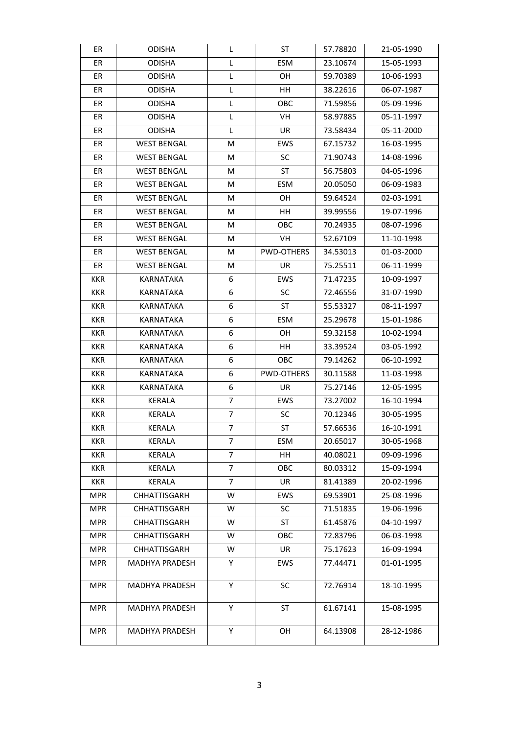| ER         | <b>ODISHA</b>       | L              | ST                | 57.78820 | 21-05-1990 |
|------------|---------------------|----------------|-------------------|----------|------------|
| ER         | <b>ODISHA</b>       | L              | ESM               | 23.10674 | 15-05-1993 |
| ER         | <b>ODISHA</b>       | L              | OH                | 59.70389 | 10-06-1993 |
| ER         | <b>ODISHA</b>       | L              | HH                | 38.22616 | 06-07-1987 |
| ER         | <b>ODISHA</b>       | L              | OBC               | 71.59856 | 05-09-1996 |
| ER         | <b>ODISHA</b>       | L              | VH.               | 58.97885 | 05-11-1997 |
| ER         | <b>ODISHA</b>       | L              | UR                | 73.58434 | 05-11-2000 |
| ER         | <b>WEST BENGAL</b>  | М              | <b>EWS</b>        | 67.15732 | 16-03-1995 |
| ER         | <b>WEST BENGAL</b>  | М              | <b>SC</b>         | 71.90743 | 14-08-1996 |
| ER         | <b>WEST BENGAL</b>  | М              | ST                | 56.75803 | 04-05-1996 |
| ER         | <b>WEST BENGAL</b>  | М              | ESM               | 20.05050 | 06-09-1983 |
| ER         | <b>WEST BENGAL</b>  | М              | OH                | 59.64524 | 02-03-1991 |
| ER         | <b>WEST BENGAL</b>  | М              | HH                | 39.99556 | 19-07-1996 |
| ER         | <b>WEST BENGAL</b>  | M              | <b>OBC</b>        | 70.24935 | 08-07-1996 |
| ER         | <b>WEST BENGAL</b>  | М              | VH                | 52.67109 | 11-10-1998 |
| ER         | <b>WEST BENGAL</b>  | м              | <b>PWD-OTHERS</b> | 34.53013 | 01-03-2000 |
| ER         | <b>WEST BENGAL</b>  | М              | UR                | 75.25511 | 06-11-1999 |
| KKR        | KARNATAKA           | 6              | <b>EWS</b>        | 71.47235 | 10-09-1997 |
| <b>KKR</b> | KARNATAKA           | 6              | <b>SC</b>         | 72.46556 | 31-07-1990 |
| <b>KKR</b> | KARNATAKA           | 6              | ST                | 55.53327 | 08-11-1997 |
| <b>KKR</b> | KARNATAKA           | 6              | <b>ESM</b>        | 25.29678 | 15-01-1986 |
| KKR        | KARNATAKA           | 6              | OH                | 59.32158 | 10-02-1994 |
| <b>KKR</b> | KARNATAKA           | 6              | HH.               | 33.39524 | 03-05-1992 |
| <b>KKR</b> | KARNATAKA           | 6              | <b>OBC</b>        | 79.14262 | 06-10-1992 |
| <b>KKR</b> | KARNATAKA           | 6              | <b>PWD-OTHERS</b> | 30.11588 | 11-03-1998 |
| <b>KKR</b> | KARNATAKA           | 6              | UR                | 75.27146 | 12-05-1995 |
| <b>KKR</b> | KERALA              | 7              | <b>EWS</b>        | 73.27002 | 16-10-1994 |
| KKR        | <b>KERALA</b>       | 7              | <b>SC</b>         | 70.12346 | 30-05-1995 |
| <b>KKR</b> | <b>KERALA</b>       | $\overline{7}$ | ST                | 57.66536 | 16-10-1991 |
| KKR        | KERALA              | 7              | ESM               | 20.65017 | 30-05-1968 |
| KKR        | KERALA              | $\overline{7}$ | HH                | 40.08021 | 09-09-1996 |
| KKR        | KERALA              | 7              | ОВС               | 80.03312 | 15-09-1994 |
| KKR        | KERALA              | $\overline{7}$ | UR                | 81.41389 | 20-02-1996 |
| <b>MPR</b> | CHHATTISGARH        | W              | EWS               | 69.53901 | 25-08-1996 |
| <b>MPR</b> | CHHATTISGARH        | W              | <b>SC</b>         | 71.51835 | 19-06-1996 |
| <b>MPR</b> | <b>CHHATTISGARH</b> | W              | ST                | 61.45876 | 04-10-1997 |
| <b>MPR</b> | <b>CHHATTISGARH</b> | W              | OBC               | 72.83796 | 06-03-1998 |
| <b>MPR</b> | CHHATTISGARH        | W              | UR                | 75.17623 | 16-09-1994 |
| <b>MPR</b> | MADHYA PRADESH      | Y              | EWS               | 77.44471 | 01-01-1995 |
| <b>MPR</b> | MADHYA PRADESH      | Υ              | <b>SC</b>         | 72.76914 | 18-10-1995 |
| <b>MPR</b> | MADHYA PRADESH      | Υ              | ST                | 61.67141 | 15-08-1995 |
| <b>MPR</b> | MADHYA PRADESH      | Y              | OH                | 64.13908 | 28-12-1986 |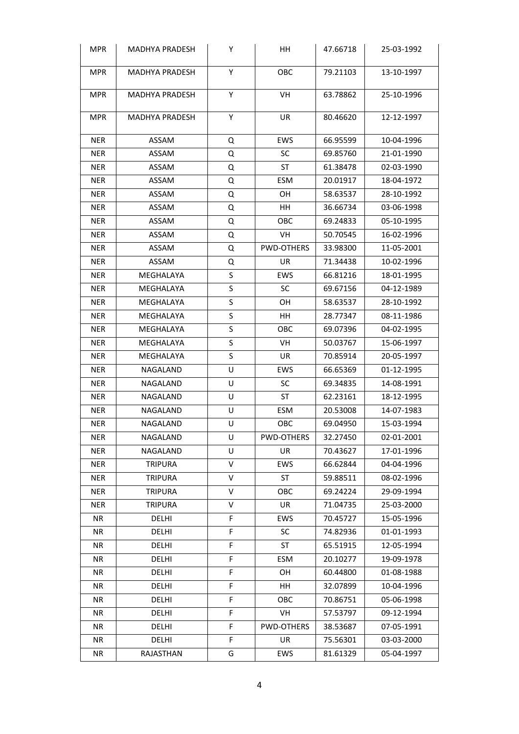| <b>MPR</b> | MADHYA PRADESH        | Y | ΗH         | 47.66718 | 25-03-1992 |
|------------|-----------------------|---|------------|----------|------------|
| <b>MPR</b> | <b>MADHYA PRADESH</b> | Y | OBC        | 79.21103 | 13-10-1997 |
| <b>MPR</b> | <b>MADHYA PRADESH</b> | Y | VH         | 63.78862 | 25-10-1996 |
| <b>MPR</b> | MADHYA PRADESH        | Υ | UR         | 80.46620 | 12-12-1997 |
| <b>NER</b> | ASSAM                 | Q | <b>EWS</b> | 66.95599 | 10-04-1996 |
| NER.       | ASSAM                 | Q | SC         | 69.85760 | 21-01-1990 |
| <b>NER</b> | ASSAM                 | Q | ST         | 61.38478 | 02-03-1990 |
| <b>NER</b> | ASSAM                 | Q | ESM        | 20.01917 | 18-04-1972 |
| <b>NER</b> | ASSAM                 | Q | OН         | 58.63537 | 28-10-1992 |
| <b>NER</b> | ASSAM                 | Q | HH         | 36.66734 | 03-06-1998 |
| <b>NER</b> | ASSAM                 | Q | OBC.       | 69.24833 | 05-10-1995 |
| <b>NER</b> | ASSAM                 | Q | VH         | 50.70545 | 16-02-1996 |
| <b>NER</b> | ASSAM                 | Q | PWD-OTHERS | 33.98300 | 11-05-2001 |
| <b>NER</b> | ASSAM                 | Q | UR         | 71.34438 | 10-02-1996 |
| <b>NER</b> | MEGHALAYA             | S | <b>EWS</b> | 66.81216 | 18-01-1995 |
| <b>NER</b> | MEGHALAYA             | S | <b>SC</b>  | 69.67156 | 04-12-1989 |
| <b>NER</b> | MEGHALAYA             | S | OН         | 58.63537 | 28-10-1992 |
| NER.       | MEGHALAYA             | S | HH.        | 28.77347 | 08-11-1986 |
| <b>NER</b> | MEGHALAYA             | S | <b>OBC</b> | 69.07396 | 04-02-1995 |
| <b>NER</b> | MEGHALAYA             | S | VH         | 50.03767 | 15-06-1997 |
| <b>NER</b> | MEGHALAYA             | S | UR         | 70.85914 | 20-05-1997 |
| <b>NER</b> | NAGALAND              | U | <b>EWS</b> | 66.65369 | 01-12-1995 |
| <b>NER</b> | NAGALAND              | U | <b>SC</b>  | 69.34835 | 14-08-1991 |
| <b>NER</b> | NAGALAND              | U | ST         | 62.23161 | 18-12-1995 |
| <b>NER</b> | NAGALAND              | U | ESM        | 20.53008 | 14-07-1983 |
| <b>NER</b> | NAGALAND              | U | овс        | 69.04950 | 15-03-1994 |
| <b>NER</b> | NAGALAND              | U | PWD-OTHERS | 32.27450 | 02-01-2001 |
| <b>NER</b> | NAGALAND              | U | UR         | 70.43627 | 17-01-1996 |
| NER        | <b>TRIPURA</b>        | V | EWS        | 66.62844 | 04-04-1996 |
| <b>NER</b> | <b>TRIPURA</b>        | V | ST         | 59.88511 | 08-02-1996 |
| <b>NER</b> | <b>TRIPURA</b>        | V | <b>OBC</b> | 69.24224 | 29-09-1994 |
| NER        | <b>TRIPURA</b>        | V | UR         | 71.04735 | 25-03-2000 |
| NR.        | <b>DELHI</b>          | F | <b>EWS</b> | 70.45727 | 15-05-1996 |
| NR.        | DELHI                 | F | <b>SC</b>  | 74.82936 | 01-01-1993 |
| NR.        | DELHI                 | F | ST         | 65.51915 | 12-05-1994 |
| NR         | DELHI                 | F | ESM        | 20.10277 | 19-09-1978 |
| NR.        | DELHI                 | F | OH         | 60.44800 | 01-08-1988 |
| NR.        | DELHI                 | F | HH         | 32.07899 | 10-04-1996 |
| NR         | DELHI                 | F | <b>OBC</b> | 70.86751 | 05-06-1998 |
| NR         | DELHI                 | F | VH         | 57.53797 | 09-12-1994 |
| NR.        | DELHI                 | F | PWD-OTHERS | 38.53687 | 07-05-1991 |
| NR         | DELHI                 | F | UR         | 75.56301 | 03-03-2000 |
| NR         | RAJASTHAN             | G | EWS        | 81.61329 | 05-04-1997 |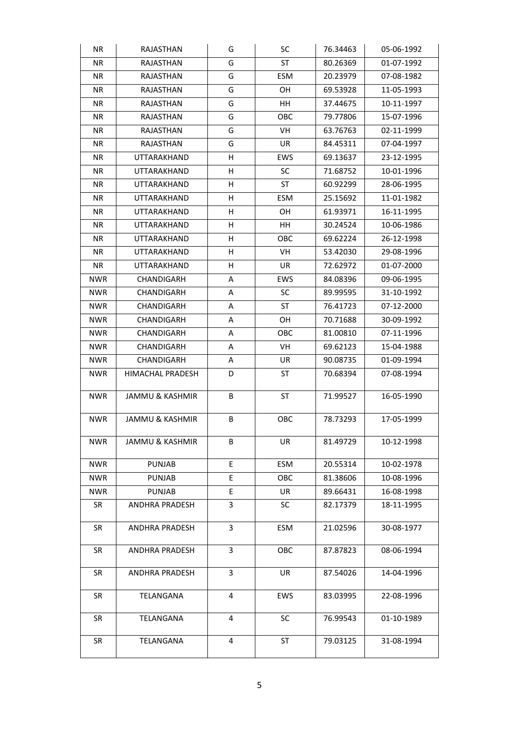| NR.        | RAJASTHAN                  | G  | <b>SC</b>  | 76.34463 | 05-06-1992 |
|------------|----------------------------|----|------------|----------|------------|
| NR.        | <b>RAJASTHAN</b>           | G  | ST         | 80.26369 | 01-07-1992 |
| NR.        | RAJASTHAN                  | G  | <b>ESM</b> | 20.23979 | 07-08-1982 |
| NR.        | RAJASTHAN                  | G  | OH.        | 69.53928 | 11-05-1993 |
| NR.        | RAJASTHAN                  | G  | HH.        | 37.44675 | 10-11-1997 |
| NR.        | RAJASTHAN                  | G  | OBC        | 79.77806 | 15-07-1996 |
| NR.        | RAJASTHAN                  | G  | VH.        | 63.76763 | 02-11-1999 |
| NR.        | RAJASTHAN                  | G  | UR         | 84.45311 | 07-04-1997 |
| NR.        | UTTARAKHAND                | н  | <b>EWS</b> | 69.13637 | 23-12-1995 |
| NR.        | <b>UTTARAKHAND</b>         | н  | <b>SC</b>  | 71.68752 | 10-01-1996 |
| NR.        | UTTARAKHAND                | н  | ST         | 60.92299 | 28-06-1995 |
| NR.        | UTTARAKHAND                | н  | ESM        | 25.15692 | 11-01-1982 |
| NR.        | UTTARAKHAND                | н  | OH         | 61.93971 | 16-11-1995 |
| NR.        | UTTARAKHAND                | н  | HH.        | 30.24524 | 10-06-1986 |
| NR.        | <b>UTTARAKHAND</b>         | н  | ОВС        | 69.62224 | 26-12-1998 |
| NR.        | UTTARAKHAND                | н  | VH.        | 53.42030 | 29-08-1996 |
| NR.        | UTTARAKHAND                | H  | UR.        | 72.62972 | 01-07-2000 |
| NWR        | CHANDIGARH                 | A  | <b>EWS</b> | 84.08396 | 09-06-1995 |
| <b>NWR</b> | CHANDIGARH                 | A  | <b>SC</b>  | 89.99595 | 31-10-1992 |
| <b>NWR</b> | CHANDIGARH                 | Α  | ST         | 76.41723 | 07-12-2000 |
| <b>NWR</b> | CHANDIGARH                 | A  | OH.        | 70.71688 | 30-09-1992 |
| <b>NWR</b> | CHANDIGARH                 | A  | овс        | 81.00810 | 07-11-1996 |
| <b>NWR</b> | CHANDIGARH                 | A  | VH.        | 69.62123 | 15-04-1988 |
| <b>NWR</b> | CHANDIGARH                 | A  | UR         | 90.08735 | 01-09-1994 |
| NWR        | HIMACHAL PRADESH           | D  | ST         | 70.68394 | 07-08-1994 |
| NWR        | JAMMU & KASHMIR            | В  | ST         | 71.99527 | 16-05-1990 |
| <b>NWR</b> | <b>JAMMU &amp; KASHMIR</b> | B  | <b>OBC</b> | 78.73293 | 17-05-1999 |
| NWR        | JAMMU & KASHMIR            | В  | UR         | 81.49729 | 10-12-1998 |
| <b>NWR</b> | <b>PUNJAB</b>              | E  | <b>ESM</b> | 20.55314 | 10-02-1978 |
| <b>NWR</b> | <b>PUNJAB</b>              | E. | OBC        | 81.38606 | 10-08-1996 |
| <b>NWR</b> | <b>PUNJAB</b>              | E  | UR         | 89.66431 | 16-08-1998 |
| SR         | <b>ANDHRA PRADESH</b>      | 3  | SC         | 82.17379 | 18-11-1995 |
| <b>SR</b>  | <b>ANDHRA PRADESH</b>      | 3  | ESM        | 21.02596 | 30-08-1977 |
| <b>SR</b>  | ANDHRA PRADESH             | 3  | OBC        | 87.87823 | 08-06-1994 |
| SR         | ANDHRA PRADESH             | 3  | UR         | 87.54026 | 14-04-1996 |
| SR         | TELANGANA                  | 4  | <b>EWS</b> | 83.03995 | 22-08-1996 |
| SR         | TELANGANA                  | 4  | SC         | 76.99543 | 01-10-1989 |
| SR         | TELANGANA                  | 4  | ST         | 79.03125 | 31-08-1994 |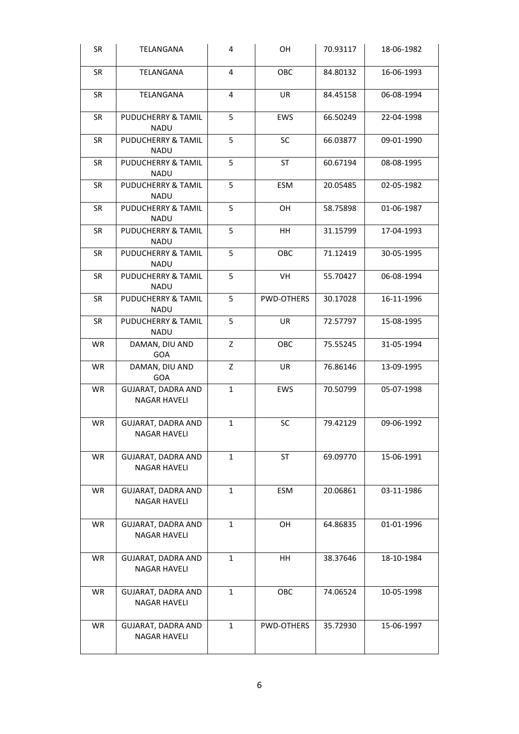| SR        | TELANGANA                                        | 4            | OH         | 70.93117 | 18-06-1982 |
|-----------|--------------------------------------------------|--------------|------------|----------|------------|
| SR        | TELANGANA                                        | 4            | OBC        | 84.80132 | 16-06-1993 |
| <b>SR</b> | TELANGANA                                        | 4            | UR         | 84.45158 | 06-08-1994 |
| <b>SR</b> | PUDUCHERRY & TAMIL<br><b>NADU</b>                | 5            | EWS        | 66.50249 | 22-04-1998 |
| SR        | PUDUCHERRY & TAMIL<br><b>NADU</b>                | 5            | SC         | 66.03877 | 09-01-1990 |
| <b>SR</b> | PUDUCHERRY & TAMIL<br><b>NADU</b>                | 5            | <b>ST</b>  | 60.67194 | 08-08-1995 |
| <b>SR</b> | PUDUCHERRY & TAMIL<br><b>NADU</b>                | 5            | ESM        | 20.05485 | 02-05-1982 |
| <b>SR</b> | PUDUCHERRY & TAMIL<br><b>NADU</b>                | 5            | OH         | 58.75898 | 01-06-1987 |
| <b>SR</b> | PUDUCHERRY & TAMIL<br><b>NADU</b>                | 5            | HH         | 31.15799 | 17-04-1993 |
| <b>SR</b> | <b>PUDUCHERRY &amp; TAMIL</b><br>NADU            | 5            | <b>OBC</b> | 71.12419 | 30-05-1995 |
| <b>SR</b> | PUDUCHERRY & TAMIL<br><b>NADU</b>                | 5            | VH         | 55.70427 | 06-08-1994 |
| <b>SR</b> | PUDUCHERRY & TAMIL<br><b>NADU</b>                | 5            | PWD-OTHERS | 30.17028 | 16-11-1996 |
| <b>SR</b> | PUDUCHERRY & TAMIL<br><b>NADU</b>                | 5            | UR         | 72.57797 | 15-08-1995 |
| <b>WR</b> | DAMAN, DIU AND<br>GOA                            | Z            | OBC        | 75.55245 | 31-05-1994 |
| <b>WR</b> | DAMAN, DIU AND<br><b>GOA</b>                     | Z            | UR         | 76.86146 | 13-09-1995 |
| <b>WR</b> | <b>GUJARAT, DADRA AND</b><br><b>NAGAR HAVELI</b> | $\mathbf{1}$ | EWS        | 70.50799 | 05-07-1998 |
| WR        | <b>GUJARAT, DADRA AND</b><br>NAGAR HAVELI        | $\mathbf{1}$ | SC         | 79.42129 | 09-06-1992 |
| <b>WR</b> | GUJARAT, DADRA AND<br><b>NAGAR HAVELI</b>        | 1            | ST         | 69.09770 | 15-06-1991 |
| <b>WR</b> | GUJARAT, DADRA AND<br><b>NAGAR HAVELI</b>        | $\mathbf{1}$ | ESM        | 20.06861 | 03-11-1986 |
| <b>WR</b> | GUJARAT, DADRA AND<br><b>NAGAR HAVELI</b>        | $\mathbf{1}$ | OH         | 64.86835 | 01-01-1996 |
| <b>WR</b> | GUJARAT, DADRA AND<br><b>NAGAR HAVELI</b>        | 1            | HH         | 38.37646 | 18-10-1984 |
| WR        | GUJARAT, DADRA AND<br><b>NAGAR HAVELI</b>        | $\mathbf{1}$ | OBC        | 74.06524 | 10-05-1998 |
| <b>WR</b> | GUJARAT, DADRA AND<br><b>NAGAR HAVELI</b>        | $\mathbf{1}$ | PWD-OTHERS | 35.72930 | 15-06-1997 |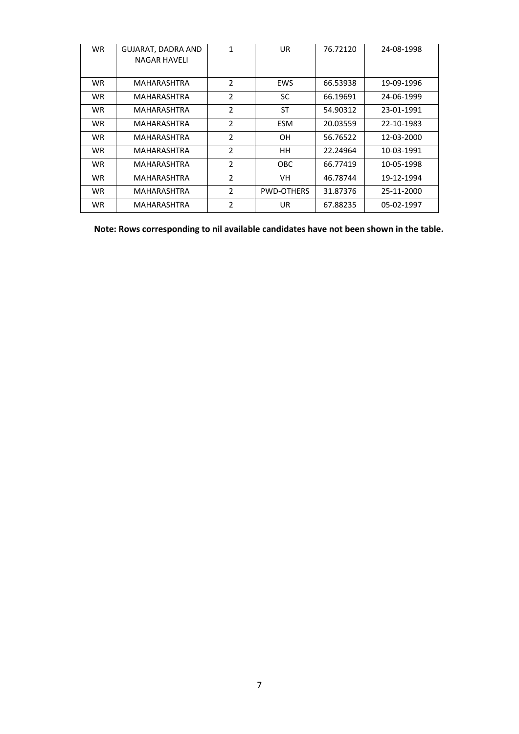| <b>WR</b> | GUJARAT, DADRA AND<br>NAGAR HAVELI | 1              | UR                | 76.72120 | 24-08-1998 |
|-----------|------------------------------------|----------------|-------------------|----------|------------|
| WR.       | <b>MAHARASHTRA</b>                 | $\overline{2}$ | <b>EWS</b>        | 66.53938 | 19-09-1996 |
| WR.       | <b>MAHARASHTRA</b>                 | $\overline{2}$ | SC                | 66.19691 | 24-06-1999 |
| <b>WR</b> | <b>MAHARASHTRA</b>                 | $\overline{2}$ | ST                | 54.90312 | 23-01-1991 |
| <b>WR</b> | <b>MAHARASHTRA</b>                 | $\overline{2}$ | <b>ESM</b>        | 20.03559 | 22-10-1983 |
| WR.       | <b>MAHARASHTRA</b>                 | $\overline{2}$ | OH.               | 56.76522 | 12-03-2000 |
| <b>WR</b> | <b>MAHARASHTRA</b>                 | $\overline{2}$ | HH.               | 22.24964 | 10-03-1991 |
| WR.       | <b>MAHARASHTRA</b>                 | $\mathfrak{p}$ | OBC.              | 66.77419 | 10-05-1998 |
| <b>WR</b> | <b>MAHARASHTRA</b>                 | $\overline{2}$ | VH.               | 46.78744 | 19-12-1994 |
| <b>WR</b> | MAHARASHTRA                        | $\overline{2}$ | <b>PWD-OTHERS</b> | 31.87376 | 25-11-2000 |
| WR.       | MAHARASHTRA                        | 2              | UR.               | 67.88235 | 05-02-1997 |

**Note: Rows corresponding to nil available candidates have not been shown in the table.**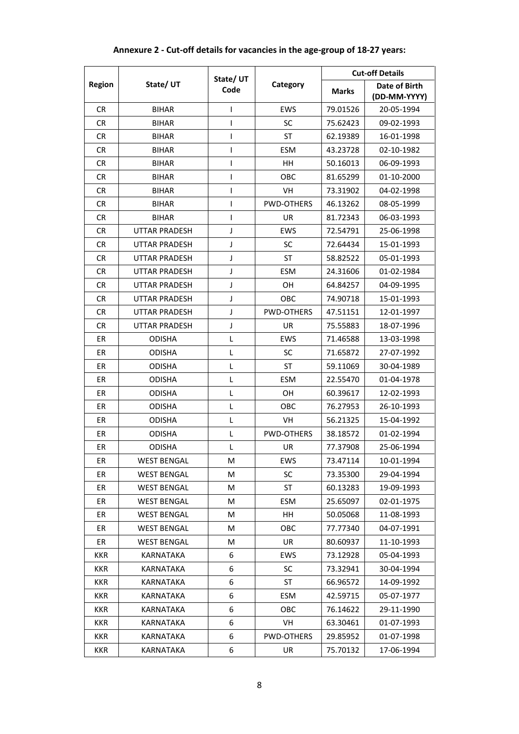|               |                      | State/ UT      | Category          | <b>Cut-off Details</b> |                               |
|---------------|----------------------|----------------|-------------------|------------------------|-------------------------------|
| <b>Region</b> | State/UT             | Code           |                   | <b>Marks</b>           | Date of Birth<br>(DD-MM-YYYY) |
| <b>CR</b>     | <b>BIHAR</b>         | ı              | EWS               | 79.01526               | 20-05-1994                    |
| <b>CR</b>     | <b>BIHAR</b>         | ı              | <b>SC</b>         | 75.62423               | 09-02-1993                    |
| <b>CR</b>     | <b>BIHAR</b>         | ı              | ST                | 62.19389               | 16-01-1998                    |
| <b>CR</b>     | BIHAR                | ı              | <b>ESM</b>        | 43.23728               | 02-10-1982                    |
| <b>CR</b>     | <b>BIHAR</b>         | I              | HН                | 50.16013               | 06-09-1993                    |
| <b>CR</b>     | BIHAR                | T              | OBC               | 81.65299               | 01-10-2000                    |
| <b>CR</b>     | <b>BIHAR</b>         | I              | <b>VH</b>         | 73.31902               | 04-02-1998                    |
| CR            | <b>BIHAR</b>         | ı              | <b>PWD-OTHERS</b> | 46.13262               | 08-05-1999                    |
| <b>CR</b>     | <b>BIHAR</b>         | $\overline{1}$ | UR.               | 81.72343               | 06-03-1993                    |
| <b>CR</b>     | <b>UTTAR PRADESH</b> | J              | EWS               | 72.54791               | 25-06-1998                    |
| <b>CR</b>     | <b>UTTAR PRADESH</b> | J              | <b>SC</b>         | 72.64434               | 15-01-1993                    |
| <b>CR</b>     | UTTAR PRADESH        | J              | <b>ST</b>         | 58.82522               | 05-01-1993                    |
| <b>CR</b>     | <b>UTTAR PRADESH</b> | J              | <b>ESM</b>        | 24.31606               | 01-02-1984                    |
| <b>CR</b>     | <b>UTTAR PRADESH</b> | J              | <b>OH</b>         | 64.84257               | 04-09-1995                    |
| <b>CR</b>     | <b>UTTAR PRADESH</b> | J              | OBC               | 74.90718               | 15-01-1993                    |
| <b>CR</b>     | <b>UTTAR PRADESH</b> | J              | <b>PWD-OTHERS</b> | 47.51151               | 12-01-1997                    |
| <b>CR</b>     | <b>UTTAR PRADESH</b> | J              | UR                | 75.55883               | 18-07-1996                    |
| ER            | <b>ODISHA</b>        | L              | EWS               | 71.46588               | 13-03-1998                    |
| ER            | <b>ODISHA</b>        | L              | <b>SC</b>         | 71.65872               | 27-07-1992                    |
| ER            | ODISHA               | L              | <b>ST</b>         | 59.11069               | 30-04-1989                    |
| ER            | <b>ODISHA</b>        | L              | <b>ESM</b>        | 22.55470               | 01-04-1978                    |
| ER            | <b>ODISHA</b>        | L              | <b>OH</b>         | 60.39617               | 12-02-1993                    |
| ЕR            | ODISHA               | L              | OBC               | 76.27953               | 26-10-1993                    |
| ER            | <b>ODISHA</b>        | L              | VH                | 56.21325               | 15-04-1992                    |
| ER            | <b>ODISHA</b>        | Г              | <b>PWD-OTHERS</b> | 38.18572               | 01-02-1994                    |
| ЕR            | <b>ODISHA</b>        | Г              | <b>UR</b>         | 77.37908               | 25-06-1994                    |
| ER            | <b>WEST BENGAL</b>   | M              | EWS               | 73.47114               | 10-01-1994                    |
| ER            | <b>WEST BENGAL</b>   | M              | <b>SC</b>         | 73.35300               | 29-04-1994                    |
| ER            | <b>WEST BENGAL</b>   | M              | ST                | 60.13283               | 19-09-1993                    |
| ER            | <b>WEST BENGAL</b>   | M              | ESM               | 25.65097               | 02-01-1975                    |
| ER            | <b>WEST BENGAL</b>   | M              | HH                | 50.05068               | 11-08-1993                    |
| ER            | <b>WEST BENGAL</b>   | М              | OBC               | 77.77340               | 04-07-1991                    |
| ER            | <b>WEST BENGAL</b>   | M              | UR                | 80.60937               | 11-10-1993                    |
| KKR           | <b>KARNATAKA</b>     | 6              | <b>EWS</b>        | 73.12928               | 05-04-1993                    |
| KKR           | KARNATAKA            | 6              | <b>SC</b>         | 73.32941               | 30-04-1994                    |
| <b>KKR</b>    | KARNATAKA            | 6              | ST                | 66.96572               | 14-09-1992                    |
| KKR           | KARNATAKA            | 6              | ESM               | 42.59715               | 05-07-1977                    |
| KKR           | KARNATAKA            | 6              | OBC               | 76.14622               | 29-11-1990                    |
| KKR           | KARNATAKA            | 6              | VH                | 63.30461               | 01-07-1993                    |
| KKR           | KARNATAKA            | 6              | PWD-OTHERS        | 29.85952               | 01-07-1998                    |
| KKR           | KARNATAKA            | 6              | UR                | 75.70132               | 17-06-1994                    |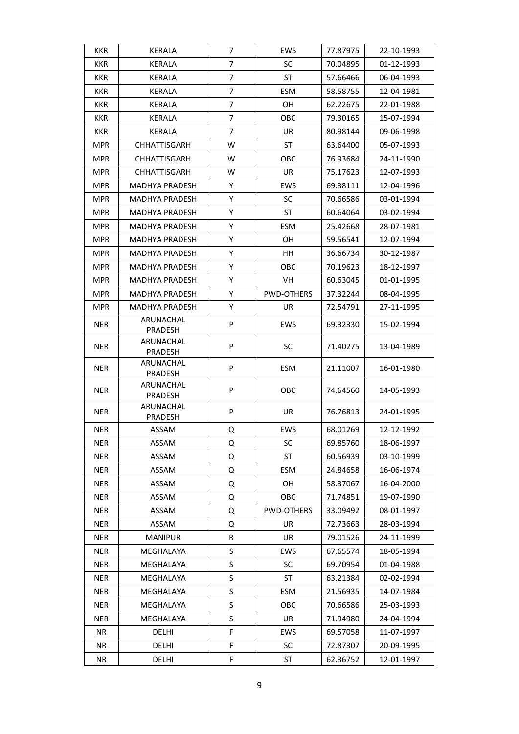| <b>KKR</b> | <b>KERALA</b>         | $\overline{7}$ | <b>EWS</b> | 77.87975 | 22-10-1993 |
|------------|-----------------------|----------------|------------|----------|------------|
| <b>KKR</b> | KERALA                | 7              | <b>SC</b>  | 70.04895 | 01-12-1993 |
| <b>KKR</b> | KERALA                | 7              | ST         | 57.66466 | 06-04-1993 |
| <b>KKR</b> | <b>KERALA</b>         | 7              | <b>ESM</b> | 58.58755 | 12-04-1981 |
| <b>KKR</b> | <b>KERALA</b>         | 7              | <b>OH</b>  | 62.22675 | 22-01-1988 |
| KKR        | <b>KERALA</b>         | 7              | OBC        | 79.30165 | 15-07-1994 |
| <b>KKR</b> | KERALA                | 7              | UR         | 80.98144 | 09-06-1998 |
| MPR        | CHHATTISGARH          | W              | ST         | 63.64400 | 05-07-1993 |
| <b>MPR</b> | <b>CHHATTISGARH</b>   | W              | ОВС        | 76.93684 | 24-11-1990 |
| MPR        | <b>CHHATTISGARH</b>   | W              | UR         | 75.17623 | 12-07-1993 |
| MPR        | MADHYA PRADESH        | Υ              | EWS        | 69.38111 | 12-04-1996 |
| <b>MPR</b> | MADHYA PRADESH        | Υ              | <b>SC</b>  | 70.66586 | 03-01-1994 |
| MPR        | MADHYA PRADESH        | Υ              | ST         | 60.64064 | 03-02-1994 |
| <b>MPR</b> | <b>MADHYA PRADESH</b> | Υ              | <b>ESM</b> | 25.42668 | 28-07-1981 |
| <b>MPR</b> | MADHYA PRADESH        | Υ              | <b>OH</b>  | 59.56541 | 12-07-1994 |
| MPR        | MADHYA PRADESH        | Υ              | HН         | 36.66734 | 30-12-1987 |
| MPR        | <b>MADHYA PRADESH</b> | Υ              | OBC        | 70.19623 | 18-12-1997 |
| <b>MPR</b> | MADHYA PRADESH        | Υ              | VH         | 60.63045 | 01-01-1995 |
| <b>MPR</b> | MADHYA PRADESH        | Υ              | PWD-OTHERS | 37.32244 | 08-04-1995 |
| MPR        | MADHYA PRADESH        | Υ              | UR         | 72.54791 | 27-11-1995 |
| <b>NER</b> | ARUNACHAL<br>PRADESH  | P              | <b>EWS</b> | 69.32330 | 15-02-1994 |
| <b>NER</b> | ARUNACHAL<br>PRADESH  | P              | <b>SC</b>  | 71.40275 | 13-04-1989 |
| <b>NER</b> | ARUNACHAL<br>PRADESH  | P              | <b>ESM</b> | 21.11007 | 16-01-1980 |
| <b>NER</b> | ARUNACHAL<br>PRADESH  | P              | OBC        | 74.64560 | 14-05-1993 |
| <b>NER</b> | ARUNACHAL<br>PRADESH  | P              | UR         | 76.76813 | 24-01-1995 |
| <b>NER</b> | ASSAM                 | Q              | EWS        | 68.01269 | 12-12-1992 |
| <b>NER</b> | ASSAM                 | Q              | SC         | 69.85760 | 18-06-1997 |
| <b>NER</b> | ASSAM                 | Q              | <b>ST</b>  | 60.56939 | 03-10-1999 |
| <b>NER</b> | ASSAM                 | Q              | <b>ESM</b> | 24.84658 | 16-06-1974 |
| <b>NER</b> | ASSAM                 | Q              | <b>OH</b>  | 58.37067 | 16-04-2000 |
| <b>NER</b> | ASSAM                 | Q              | OBC        | 71.74851 | 19-07-1990 |
| <b>NER</b> | ASSAM                 | Q              | PWD-OTHERS | 33.09492 | 08-01-1997 |
| <b>NER</b> | ASSAM                 | Q              | UR         | 72.73663 | 28-03-1994 |
| <b>NER</b> | <b>MANIPUR</b>        | R              | UR         | 79.01526 | 24-11-1999 |
| <b>NER</b> | MEGHALAYA             | S              | <b>EWS</b> | 67.65574 | 18-05-1994 |
| <b>NER</b> | MEGHALAYA             | S              | <b>SC</b>  | 69.70954 | 01-04-1988 |
| <b>NER</b> | MEGHALAYA             | S              | ST         | 63.21384 | 02-02-1994 |
| <b>NER</b> | MEGHALAYA             | S              | ESM        | 21.56935 | 14-07-1984 |
| NER        | MEGHALAYA             | S              | овс        | 70.66586 | 25-03-1993 |
| <b>NER</b> | MEGHALAYA             | S              | UR.        | 71.94980 | 24-04-1994 |
| NR         | DELHI                 | F              | EWS        | 69.57058 | 11-07-1997 |
| NR.        | <b>DELHI</b>          | F              | <b>SC</b>  | 72.87307 | 20-09-1995 |
| ΝR         | DELHI                 | F              | ST         | 62.36752 | 12-01-1997 |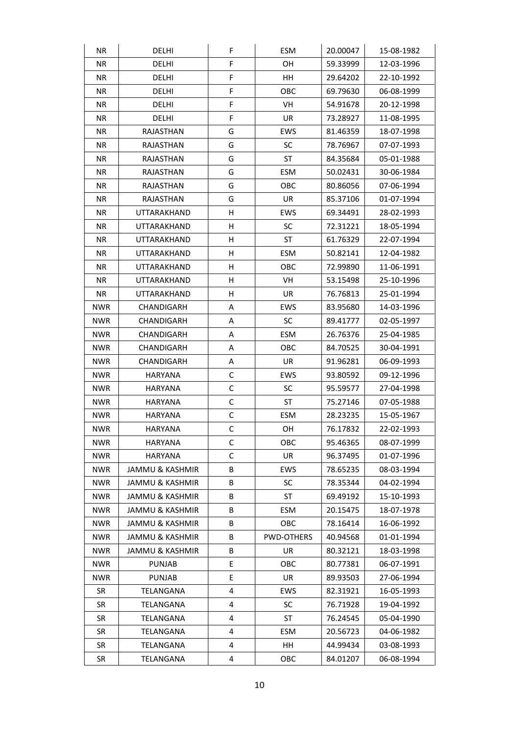| NR.        | DELHI                      | F | <b>ESM</b>        | 20.00047 | 15-08-1982 |
|------------|----------------------------|---|-------------------|----------|------------|
| NR.        | <b>DELHI</b>               | F | OН                | 59.33999 | 12-03-1996 |
| <b>NR</b>  | <b>DELHI</b>               | F | HH                | 29.64202 | 22-10-1992 |
| NR.        | DELHI                      | F | <b>OBC</b>        | 69.79630 | 06-08-1999 |
| NR.        | <b>DELHI</b>               | F | VH                | 54.91678 | 20-12-1998 |
| NR.        | DELHI                      | F | UR                | 73.28927 | 11-08-1995 |
| NR.        | RAJASTHAN                  | G | <b>EWS</b>        | 81.46359 | 18-07-1998 |
| NR.        | RAJASTHAN                  | G | <b>SC</b>         | 78.76967 | 07-07-1993 |
| NR.        | RAJASTHAN                  | G | ST                | 84.35684 | 05-01-1988 |
| NR.        | RAJASTHAN                  | G | <b>ESM</b>        | 50.02431 | 30-06-1984 |
| NR.        | RAJASTHAN                  | G | OBC               | 80.86056 | 07-06-1994 |
| NR         | RAJASTHAN                  | G | <b>UR</b>         | 85.37106 | 01-07-1994 |
| NR.        | UTTARAKHAND                | н | EWS               | 69.34491 | 28-02-1993 |
| NR.        | UTTARAKHAND                | н | <b>SC</b>         | 72.31221 | 18-05-1994 |
| NR.        | UTTARAKHAND                | н | ST                | 61.76329 | 22-07-1994 |
| NR.        | UTTARAKHAND                | н | <b>ESM</b>        | 50.82141 | 12-04-1982 |
| NR.        | UTTARAKHAND                | н | OBC               | 72.99890 | 11-06-1991 |
| NR         | UTTARAKHAND                | н | VH                | 53.15498 | 25-10-1996 |
| NR.        | UTTARAKHAND                | н | UR.               | 76.76813 | 25-01-1994 |
| <b>NWR</b> | CHANDIGARH                 | Α | EWS               | 83.95680 | 14-03-1996 |
| <b>NWR</b> | CHANDIGARH                 | А | <b>SC</b>         | 89.41777 | 02-05-1997 |
| <b>NWR</b> | CHANDIGARH                 | Α | ESM               | 26.76376 | 25-04-1985 |
| <b>NWR</b> | CHANDIGARH                 | Α | OBC               | 84.70525 | 30-04-1991 |
| <b>NWR</b> | CHANDIGARH                 | Α | <b>UR</b>         | 91.96281 | 06-09-1993 |
| <b>NWR</b> | HARYANA                    | С | EWS               | 93.80592 | 09-12-1996 |
| <b>NWR</b> | HARYANA                    | C | <b>SC</b>         | 95.59577 | 27-04-1998 |
| <b>NWR</b> | HARYANA                    | С | ST                | 75.27146 | 07-05-1988 |
| <b>NWR</b> | HARYANA                    | С | ESM               | 28.23235 | 15-05-1967 |
| <b>NWR</b> | <b>HARYANA</b>             | C | 0H                | 76.17832 | 22-02-1993 |
| <b>NWR</b> | HARYANA                    | С | OBC               | 95.46365 | 08-07-1999 |
| <b>NWR</b> | HARYANA                    | С | UR.               | 96.37495 | 01-07-1996 |
| <b>NWR</b> | <b>JAMMU &amp; KASHMIR</b> | В | <b>EWS</b>        | 78.65235 | 08-03-1994 |
| <b>NWR</b> | <b>JAMMU &amp; KASHMIR</b> | В | <b>SC</b>         | 78.35344 | 04-02-1994 |
| <b>NWR</b> | <b>JAMMU &amp; KASHMIR</b> | B | ST                | 69.49192 | 15-10-1993 |
| <b>NWR</b> | JAMMU & KASHMIR            | B | ESM               | 20.15475 | 18-07-1978 |
| <b>NWR</b> | <b>JAMMU &amp; KASHMIR</b> | В | OBC               | 78.16414 | 16-06-1992 |
| <b>NWR</b> | JAMMU & KASHMIR            | В | <b>PWD-OTHERS</b> | 40.94568 | 01-01-1994 |
| <b>NWR</b> | <b>JAMMU &amp; KASHMIR</b> | В | UR                | 80.32121 | 18-03-1998 |
| <b>NWR</b> | <b>PUNJAB</b>              | E | OBC               | 80.77381 | 06-07-1991 |
| <b>NWR</b> | <b>PUNJAB</b>              | Е | UR                | 89.93503 | 27-06-1994 |
| SR         | TELANGANA                  | 4 | <b>EWS</b>        | 82.31921 | 16-05-1993 |
| SR         | TELANGANA                  | 4 | <b>SC</b>         | 76.71928 | 19-04-1992 |
| <b>SR</b>  | TELANGANA                  | 4 | ST                | 76.24545 | 05-04-1990 |
| SR         | TELANGANA                  | 4 | ESM               | 20.56723 | 04-06-1982 |
| SR         | TELANGANA                  | 4 | HH                | 44.99434 | 03-08-1993 |
| SR         | TELANGANA                  | 4 | OBC               | 84.01207 | 06-08-1994 |